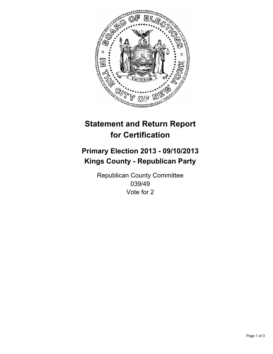

# **Statement and Return Report for Certification**

# **Primary Election 2013 - 09/10/2013 Kings County - Republican Party**

Republican County Committee 039/49 Vote for 2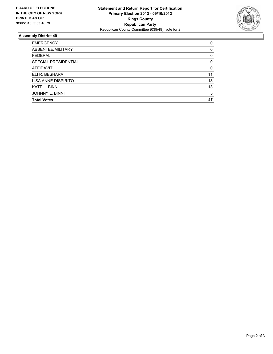

## **Assembly District 49**

| <b>EMERGENCY</b>       | 0        |
|------------------------|----------|
| ABSENTEE/MILITARY      | $\Omega$ |
| <b>FEDERAL</b>         | 0        |
| SPECIAL PRESIDENTIAL   | 0        |
| <b>AFFIDAVIT</b>       | $\Omega$ |
| ELI R. BESHARA         | 11       |
| LISA ANNE DISPIRITO    | 18       |
| <b>KATE L. BINNI</b>   | 13       |
| <b>JOHNNY L. BINNI</b> | 5        |
| <b>Total Votes</b>     | 47       |